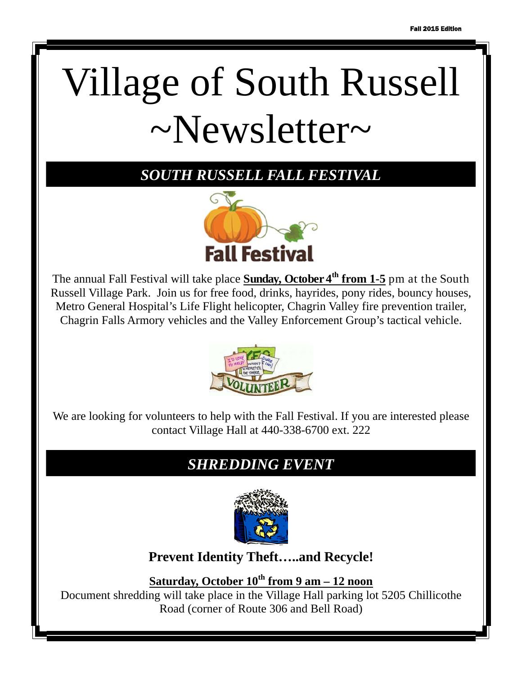# Village of South Russell  $\sim$ Newsletter $\sim$

*SOUTH RUSSELL FALL FESTIVAL*



The annual Fall Festival will take place **Sunday, October 4th from 1-5** pm at the South Russell Village Park. Join us for free food, drinks, hayrides, pony rides, bouncy houses, Metro General Hospital's Life Flight helicopter, Chagrin Valley fire prevention trailer, Chagrin Falls Armory vehicles and the Valley Enforcement Group's tactical vehicle.



We are looking for volunteers to help with the Fall Festival. If you are interested please contact Village Hall at 440-338-6700 ext. 222

# *SHREDDING EVENT*



**Prevent Identity Theft…..and Recycle!** 

**Saturday, October 10th from 9 am – 12 noon**

Document shredding will take place in the Village Hall parking lot 5205 Chillicothe Road (corner of Route 306 and Bell Road)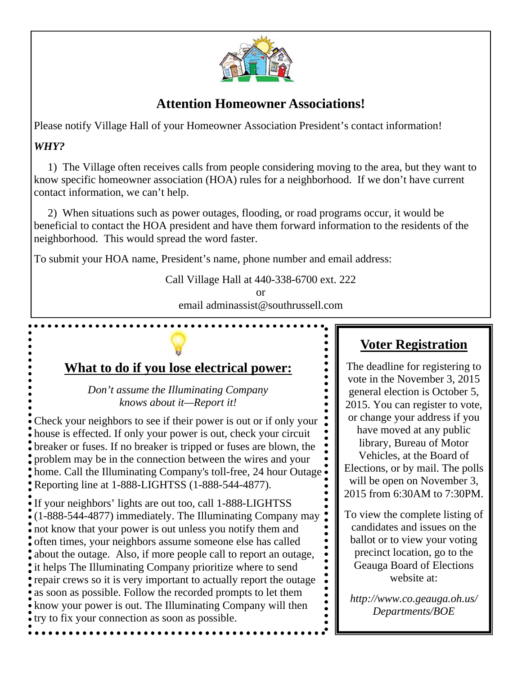

### **Attention Homeowner Associations!**

Please notify Village Hall of your Homeowner Association President's contact information!

#### *WHY?*

 1) The Village often receives calls from people considering moving to the area, but they want to know specific homeowner association (HOA) rules for a neighborhood. If we don't have current contact information, we can't help.

 2) When situations such as power outages, flooding, or road programs occur, it would be beneficial to contact the HOA president and have them forward information to the residents of the neighborhood. This would spread the word faster.

To submit your HOA name, President's name, phone number and email address:

Call Village Hall at 440-338-6700 ext. 222

or email adminassist@southrussell.com

# **What to do if you lose electrical power:**

*Don't assume the Illuminating Company knows about it—Report it!* 

Check your neighbors to see if their power is out or if only your house is effected. If only your power is out, check your circuit breaker or fuses. If no breaker is tripped or fuses are blown, the problem may be in the connection between the wires and your home. Call the Illuminating Company's toll-free, 24 hour Outage Reporting line at 1-888-LIGHTSS (1-888-544-4877).

If your neighbors' lights are out too, call 1-888-LIGHTSS (1-888-544-4877) immediately. The Illuminating Company may not know that your power is out unless you notify them and often times, your neighbors assume someone else has called about the outage. Also, if more people call to report an outage, it helps The Illuminating Company prioritize where to send repair crews so it is very important to actually report the outage as soon as possible. Follow the recorded prompts to let them know your power is out. The Illuminating Company will then try to fix your connection as soon as possible.

# **Voter Registration**

The deadline for registering to vote in the November 3, 2015 general election is October 5, 2015. You can register to vote, or change your address if you have moved at any public library, Bureau of Motor Vehicles, at the Board of Elections, or by mail. The polls will be open on November 3, 2015 from 6:30AM to 7:30PM.

To view the complete listing of candidates and issues on the ballot or to view your voting precinct location, go to the Geauga Board of Elections website at:

*http://www.co.geauga.oh.us/ Departments/BOE*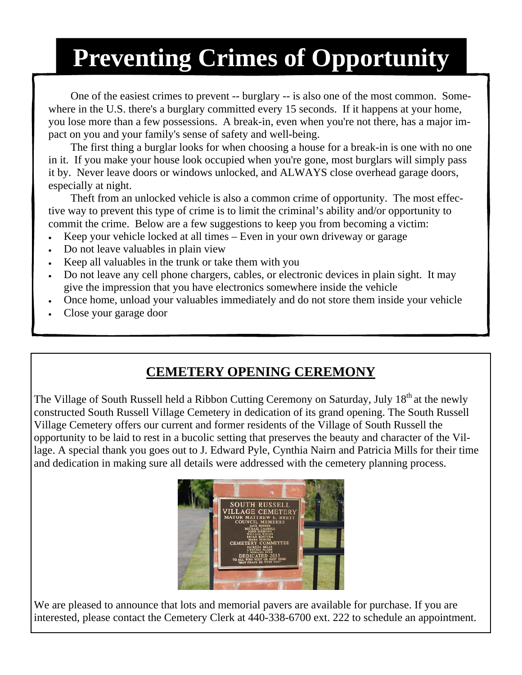# **Preventing Crimes of Opportunity**

 One of the easiest crimes to prevent -- burglary -- is also one of the most common. Somewhere in the U.S. there's a burglary committed every 15 seconds. If it happens at your home, you lose more than a few possessions. A break-in, even when you're not there, has a major impact on you and your family's sense of safety and well-being.

 The first thing a burglar looks for when choosing a house for a break-in is one with no one in it. If you make your house look occupied when you're gone, most burglars will simply pass it by. Never leave doors or windows unlocked, and ALWAYS close overhead garage doors, especially at night.

 Theft from an unlocked vehicle is also a common crime of opportunity. The most effective way to prevent this type of crime is to limit the criminal's ability and/or opportunity to commit the crime. Below are a few suggestions to keep you from becoming a victim:

- Keep your vehicle locked at all times Even in your own driveway or garage
- Do not leave valuables in plain view
- Keep all valuables in the trunk or take them with you
- Do not leave any cell phone chargers, cables, or electronic devices in plain sight. It may give the impression that you have electronics somewhere inside the vehicle
- Once home, unload your valuables immediately and do not store them inside your vehicle
- Close your garage door

# **CEMETERY OPENING CEREMONY**

The Village of South Russell held a Ribbon Cutting Ceremony on Saturday, July 18<sup>th</sup> at the newly constructed South Russell Village Cemetery in dedication of its grand opening. The South Russell Village Cemetery offers our current and former residents of the Village of South Russell the opportunity to be laid to rest in a bucolic setting that preserves the beauty and character of the Village. A special thank you goes out to J. Edward Pyle, Cynthia Nairn and Patricia Mills for their time and dedication in making sure all details were addressed with the cemetery planning process.



We are pleased to announce that lots and memorial pavers are available for purchase. If you are interested, please contact the Cemetery Clerk at 440-338-6700 ext. 222 to schedule an appointment.